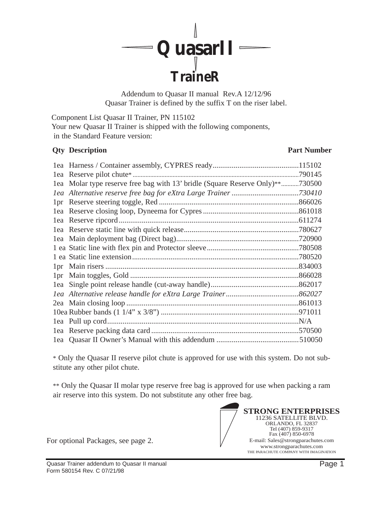

Addendum to Quasar II manual Rev.A 12/12/96 Quasar Trainer is defined by the suffix T on the riser label.

Component List Quasar II Trainer, PN 115102 Your new Quasar II Trainer is shipped with the following components, in the Standard Feature version:

#### **Qty Description Part Number**

|     |                                                                               | .790145 |
|-----|-------------------------------------------------------------------------------|---------|
|     | 1ea Molar type reserve free bag with 13' bridle (Square Reserve Only)**730500 |         |
|     |                                                                               |         |
|     |                                                                               |         |
|     |                                                                               |         |
|     |                                                                               |         |
|     |                                                                               | .780627 |
|     |                                                                               |         |
|     |                                                                               |         |
|     |                                                                               |         |
|     |                                                                               | .834003 |
| 1pr |                                                                               | .866028 |
|     |                                                                               |         |
|     |                                                                               |         |
|     |                                                                               |         |
|     |                                                                               |         |
|     |                                                                               |         |
|     |                                                                               |         |
|     |                                                                               |         |

\* Only the Quasar II reserve pilot chute is approved for use with this system. Do not substitute any other pilot chute.

\*\* Only the Quasar II molar type reserve free bag is approved for use when packing a ram air reserve into this system. Do not substitute any other free bag.

For optional Packages, see page 2.

**STRONG ENTERPRISES** 11236 SATELLITE BLVD. ORLANDO, FL 32837 Tel (407) 859-9317 Fax (407) 850-6978 E-mail: Sales@strongparachutes.com www.strongparachutes.com THE PARACHUTE COMPANY WITH IMAGINATION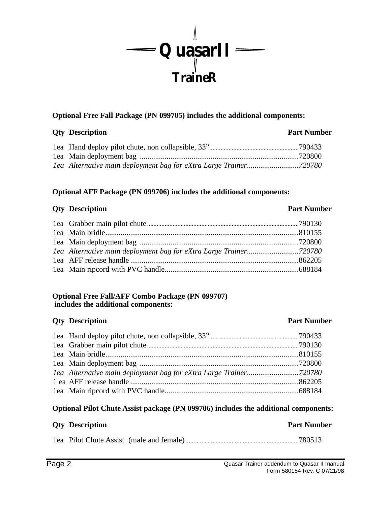

### **Optional Free Fall Package (PN 099705) includes the additional components:**

### **Qty Description Part Number**

### **Optional AFF Package (PN 099706) includes the additional components:**

#### **Qty Description Part Number**

#### **Optional Free Fall/AFF Combo Package (PN 099707) includes the additional components:**

### **Qty Description Part Number**

## 1ea Hand deploy pilot chute, non collapsible, 33"........................................................790433 1ea Grabber main pilot chute...............................................................................................790130 1ea Main bridle.....................................................................................................810155 1ea Main deployment bag ...................................................................................720800 *1ea Alternative main deployment bag for eXtra Large Trainer...........................720780* 1 ea AFF release handle ........................................................................................862205 1ea Main ripcord with PVC handle......................................................................688184

### **Optional Pilot Chute Assist package (PN 099706) includes the additional components:**

## **Oty Description Part Number**

1ea Pilot Chute Assist (male and female).......................................................................780513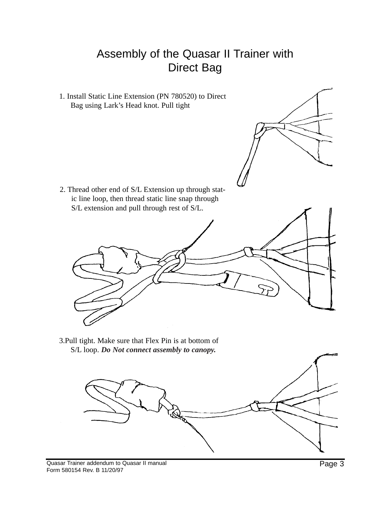# Assembly of the Quasar II Trainer with Direct Bag

1. Install Static Line Extension (PN 780520) to Direct Bag using Lark's Head knot. Pull tight

2. Thread other end of S/L Extension up through static line loop, then thread static line snap through S/L extension and pull through rest of S/L.



3.Pull tight. Make sure that Flex Pin is at bottom of S/L loop. *Do Not connect assembly to canopy.*